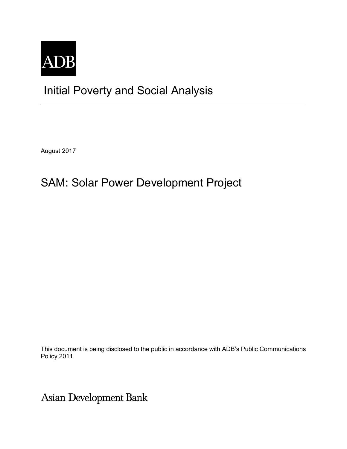

## Initial Poverty and Social Analysis

August 2017

# SAM: Solar Power Development Project

This document is being disclosed to the public in accordance with ADB's Public Communications Policy 2011.

Asian Development Bank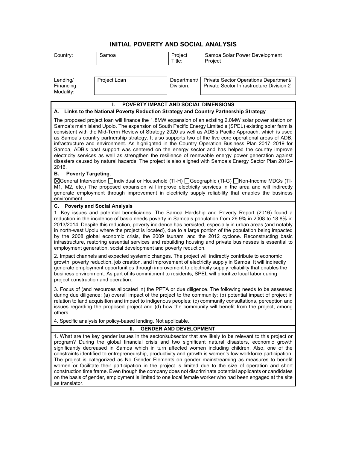## **INITIAL POVERTY AND SOCIAL ANALYSIS**

| Country:                                                                                                                                                                                                                                                                                                                                                                                                                                                                                                                                                                                                                                                                                                                                                                                                                                                                                          | Samoa        | Project<br>Title:        | Samoa Solar Power Development<br>Project                                          |  |
|---------------------------------------------------------------------------------------------------------------------------------------------------------------------------------------------------------------------------------------------------------------------------------------------------------------------------------------------------------------------------------------------------------------------------------------------------------------------------------------------------------------------------------------------------------------------------------------------------------------------------------------------------------------------------------------------------------------------------------------------------------------------------------------------------------------------------------------------------------------------------------------------------|--------------|--------------------------|-----------------------------------------------------------------------------------|--|
|                                                                                                                                                                                                                                                                                                                                                                                                                                                                                                                                                                                                                                                                                                                                                                                                                                                                                                   |              |                          |                                                                                   |  |
| Lending/<br>Financing<br>Modality:                                                                                                                                                                                                                                                                                                                                                                                                                                                                                                                                                                                                                                                                                                                                                                                                                                                                | Project Loan | Department/<br>Division: | Private Sector Operations Department/<br>Private Sector Infrastructure Division 2 |  |
|                                                                                                                                                                                                                                                                                                                                                                                                                                                                                                                                                                                                                                                                                                                                                                                                                                                                                                   |              |                          |                                                                                   |  |
| POVERTY IMPACT AND SOCIAL DIMENSIONS                                                                                                                                                                                                                                                                                                                                                                                                                                                                                                                                                                                                                                                                                                                                                                                                                                                              |              |                          |                                                                                   |  |
| A. Links to the National Poverty Reduction Strategy and Country Partnership Strategy                                                                                                                                                                                                                                                                                                                                                                                                                                                                                                                                                                                                                                                                                                                                                                                                              |              |                          |                                                                                   |  |
| The proposed project loan will finance the 1.8MW expansion of an existing 2.0MW solar power station on<br>Samoa's main island Upolo. The expansion of South Pacific Energy Limited's (SPEL) existing solar farm is<br>consistent with the Mid-Term Review of Strategy 2020 as well as ADB's Pacific Approach, which is used<br>as Samoa's country partnership strategy. It also supports two of the five core operational areas of ADB,<br>infrastructure and environment. As highlighted in the Country Operation Business Plan 2017-2019 for<br>Samoa, ADB's past support was centered on the energy sector and has helped the country improve<br>electricity services as well as strengthen the resilience of renewable energy power generation against<br>disasters caused by natural hazards. The project is also aligned with Samoa's Energy Sector Plan 2012-<br>2016.                     |              |                          |                                                                                   |  |
| В.<br><b>Poverty Targeting:</b>                                                                                                                                                                                                                                                                                                                                                                                                                                                                                                                                                                                                                                                                                                                                                                                                                                                                   |              |                          |                                                                                   |  |
| ⊠General Intervention _Individual or Household (TI-H) _Geographic (TI-G) _Non-Income MDGs (TI-<br>M1, M2, etc.) The proposed expansion will improve electricity services in the area and will indirectly<br>generate employment through improvement in electricity supply reliability that enables the business<br>environment.                                                                                                                                                                                                                                                                                                                                                                                                                                                                                                                                                                   |              |                          |                                                                                   |  |
| C. Poverty and Social Analysis                                                                                                                                                                                                                                                                                                                                                                                                                                                                                                                                                                                                                                                                                                                                                                                                                                                                    |              |                          |                                                                                   |  |
| 1. Key issues and potential beneficiaries. The Samoa Hardship and Poverty Report (2016) found a<br>reduction in the incidence of basic needs poverty in Samoa's population from 26.9% in 2008 to 18.8% in<br>2013/2014. Despite this reduction, poverty incidence has persisted, especially in urban areas (and notably<br>in north-west Upolu where the project is located), due to a large portion of the population being impacted<br>by the 2008 global economic crisis, the 2009 tsunami and the 2012 cyclone. Reconstructing basic<br>infrastructure, restoring essential services and rebuilding housing and private businesses is essential to<br>employment generation, social development and poverty reduction.                                                                                                                                                                        |              |                          |                                                                                   |  |
| 2. Impact channels and expected systemic changes. The project will indirectly contribute to economic<br>growth, poverty reduction, job creation, and improvement of electricity supply in Samoa. It will indirectly<br>generate employment opportunities through improvement to electricity supply reliability that enables the<br>business environment. As part of its commitment to residents, SPEL will prioritize local labor during<br>project construction and operation.                                                                                                                                                                                                                                                                                                                                                                                                                   |              |                          |                                                                                   |  |
| 3. Focus of (and resources allocated in) the PPTA or due diligence. The following needs to be assessed<br>during due diligence: (a) overall impact of the project to the community; (b) potential impact of project in<br>relation to land acquisition and impact to indigenous peoples; (c) community consultations, perception and<br>issues regarding the proposed project and (d) how the community will benefit from the project, among<br>others.                                                                                                                                                                                                                                                                                                                                                                                                                                           |              |                          |                                                                                   |  |
| 4. Specific analysis for policy-based lending. Not applicable.                                                                                                                                                                                                                                                                                                                                                                                                                                                                                                                                                                                                                                                                                                                                                                                                                                    |              |                          |                                                                                   |  |
| <b>GENDER AND DEVELOPMENT</b><br>Н.                                                                                                                                                                                                                                                                                                                                                                                                                                                                                                                                                                                                                                                                                                                                                                                                                                                               |              |                          |                                                                                   |  |
| 1. What are the key gender issues in the sector/subsector that are likely to be relevant to this project or<br>program? During the global financial crisis and two significant natural disasters, economic growth<br>significantly decreased in Samoa which in turn affected women including children. Also, one of the<br>constraints identified to entrepreneurship, productivity and growth is women's low workforce participation.<br>The project is categorized as No Gender Elements on gender mainstreaming as measures to benefit<br>women or facilitate their participation in the project is limited due to the size of operation and short<br>construction time frame. Even though the company does not discriminate potential applicants or candidates<br>on the basis of gender, employment is limited to one local female worker who had been engaged at the site<br>as translator. |              |                          |                                                                                   |  |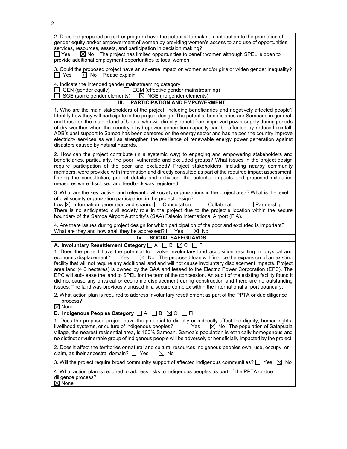2. Does the proposed project or program have the potential to make a contribution to the promotion of gender equity and/or empowerment of women by providing women's access to and use of opportunities, services, resources, assets, and participation in decision making?

 $\Box$  Yes  $\hbox{ }$   $\boxtimes$  No  $\hbox{ }$  The project has limited opportunities to benefit women although SPEL is open to provide additional employment opportunities to local women.

3. Could the proposed project have an adverse impact on women and/or girls or widen gender inequality?  $\Box$  Yes  $\Box$  No Please explain

4. Indicate the intended gender mainstreaming category:

 $\Box$  GEN (gender equity)  $\Box$  EGM (effective gender mainstreaming)

 $\Box$  SGE (some gender elements)  $\boxtimes$  NGE (no gender elements)

**III. PARTICIPATION AND EMPOWERMENT**

1. Who are the main stakeholders of the project, including beneficiaries and negatively affected people? Identify how they will participate in the project design. The potential beneficiaries are Samoans in general, and those on the main island of Upolu, who will directly benefit from improved power supply during periods of dry weather when the country's hydropower generation capacity can be affected by reduced rainfall. ADB's past support to Samoa has been centered on the energy sector and has helped the country improve electricity services as well as strengthen the resilience of renewable energy power generation against disasters caused by natural hazards.

2. How can the project contribute (in a systemic way) to engaging and empowering stakeholders and beneficiaries, particularly, the poor, vulnerable and excluded groups? What issues in the project design require participation of the poor and excluded? Project stakeholders, including nearby community members, were provided with information and directly consulted as part of the required impact assessment. During the consultation, project details and activities, the potential impacts and proposed mitigation measures were disclosed and feedback was registered.

3. What are the key, active, and relevant civil society organizations in the project area? What is the level of civil society organization participation in the project design?

Low  $\boxtimes$  Information generation and sharing  $\Box$  Consultation  $\Box$  Collaboration  $\Box$  Partnership There is no anticipated civil society role in the project due to the project's location within the secure boundary of the Samoa Airport Authority's (SAA) Faleolo International Airport (FIA).

4. Are there issues during project design for which participation of the poor and excluded is important? What are they and how shall they be addressed?  $\Box$  Yes  $\Box$  No

### **IV. SOCIAL SAFEGUARDS**

### **A. Involuntary Resettlement Category**  $\Box$  A  $\Box$  B  $\boxtimes$  C  $\Box$  FI

1. Does the project have the potential to involve involuntary land acquisition resulting in physical and economic displacement?  $\Box$  Yes  $\Box$  No The proposed loan will finance the expansion of an existing facility that will not require any additional land and will not cause involuntary displacement impacts. Project area land (4.6 hectares) is owned by the SAA and leased to the Electric Power Corporation (EPC). The EPC will sub-lease the land to SPEL for the term of the concession. An audit of the existing facility found it did not cause any physical or economic displacement during construction and there are no outstanding issues. The land was previously unused in a secure complex within the international airport boundary.

2. What action plan is required to address involuntary resettlement as part of the PPTA or due diligence process?

#### $\boxtimes$  None

#### **B. Indigenous Peoples Category**  $\Box$  A  $\Box$  B  $\boxtimes$  C  $\Box$  FI

1. Does the proposed project have the potential to directly or indirectly affect the dignity, human rights, livelihood systems, or culture of indigenous peoples?  $\square$  Yes  $\square$  No The population of Satapuala livelihood systems, or culture of indigenous peoples? village, the nearest residential area, is 100% Samoan. Samoa's population is ethnically homogenous and no distinct or vulnerable group of indigenous people will be adversely or beneficially impacted by the project.

2. Does it affect the territories or natural and cultural resources indigenous peoples own, use, occupy, or claim, as their ancestral domain?  $\Box$  Yes  $\boxtimes$  No

3. Will the project require broad community support of affected indigenous communities?  $\Box$  Yes  $\boxtimes$  No

4. What action plan is required to address risks to indigenous peoples as part of the PPTA or due diligence process?  $\boxtimes$  None